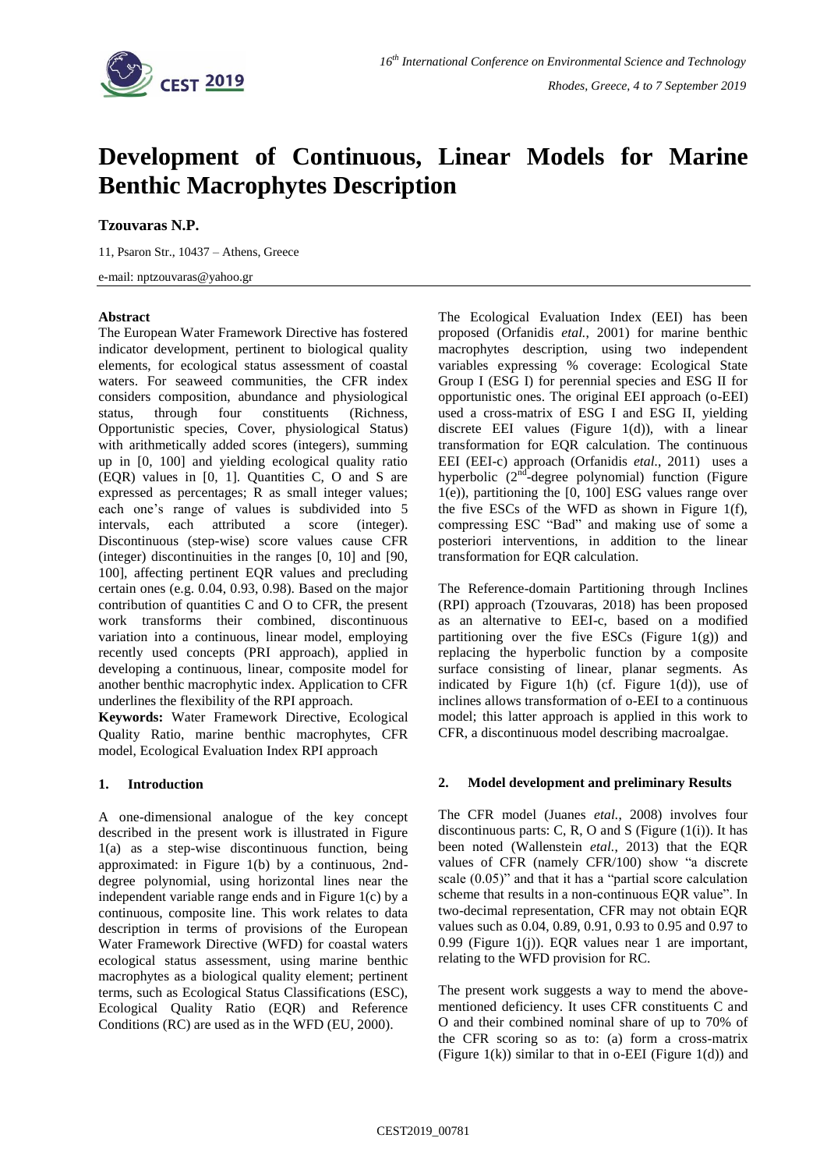

# **Development of Continuous, Linear Models for Marine Benthic Macrophytes Description**

## **Tzouvaras N.P.**

11, Psaron Str., 10437 – Athens, Greece

e-mail: nptzouvaras@yahoo.gr

### **Abstract**

The European Water Framework Directive has fostered indicator development, pertinent to biological quality elements, for ecological status assessment of coastal waters. For seaweed communities, the CFR index considers composition, abundance and physiological status, through four constituents (Richness, Opportunistic species, Cover, physiological Status) with arithmetically added scores (integers), summing up in [0, 100] and yielding ecological quality ratio (EQR) values in [0, 1]. Quantities C, O and S are expressed as percentages; R as small integer values; each one's range of values is subdivided into 5 intervals, each attributed a score (integer). Discontinuous (step-wise) score values cause CFR (integer) discontinuities in the ranges [0, 10] and [90, 100], affecting pertinent EQR values and precluding certain ones (e.g. 0.04, 0.93, 0.98). Based on the major contribution of quantities C and O to CFR, the present work transforms their combined, discontinuous variation into a continuous, linear model, employing recently used concepts (PRI approach), applied in developing a continuous, linear, composite model for another benthic macrophytic index. Application to CFR underlines the flexibility of the RPI approach.

**Keywords:** Water Framework Directive, Ecological Quality Ratio, marine benthic macrophytes, CFR model, Ecological Evaluation Index RPI approach

### **1. Introduction**

A one-dimensional analogue of the key concept described in the present work is illustrated in Figure 1(a) as a step-wise discontinuous function, being approximated: in Figure 1(b) by a continuous, 2nddegree polynomial, using horizontal lines near the independent variable range ends and in Figure 1(c) by a continuous, composite line. This work relates to data description in terms of provisions of the European Water Framework Directive (WFD) for coastal waters ecological status assessment, using marine benthic macrophytes as a biological quality element; pertinent terms, such as Ecological Status Classifications (ESC), Ecological Quality Ratio (EQR) and Reference Conditions (RC) are used as in the WFD (EU, 2000).

The Ecological Evaluation Index (EEI) has been proposed (Orfanidis *etal.*, 2001) for marine benthic macrophytes description, using two independent variables expressing % coverage: Ecological State Group I (ESG I) for perennial species and ESG II for opportunistic ones. The original EEI approach (o-EEI) used a cross-matrix of ESG I and ESG II, yielding discrete EEI values (Figure 1(d)), with a linear transformation for EQR calculation. The continuous EEI (EEI-c) approach (Orfanidis *etal.*, 2011) uses a hyperbolic  $(2^{nd}$ -degree polynomial) function (Figure 1(e)), partitioning the [0, 100] ESG values range over the five ESCs of the WFD as shown in Figure 1(f), compressing ESC "Bad" and making use of some a posteriori interventions, in addition to the linear transformation for EQR calculation.

The Reference-domain Partitioning through Inclines (RPI) approach (Tzouvaras, 2018) has been proposed as an alternative to EEI-c, based on a modified partitioning over the five ESCs (Figure 1(g)) and replacing the hyperbolic function by a composite surface consisting of linear, planar segments. As indicated by Figure 1(h) (cf. Figure 1(d)), use of inclines allows transformation of o-EEI to a continuous model; this latter approach is applied in this work to CFR, a discontinuous model describing macroalgae.

### **2. Model development and preliminary Results**

The CFR model (Juanes *etal.*, 2008) involves four discontinuous parts: C, R, O and S (Figure  $(1(i))$ . It has been noted (Wallenstein *etal.*, 2013) that the EQR values of CFR (namely CFR/100) show "a discrete scale (0.05)" and that it has a "partial score calculation scheme that results in a non-continuous EQR value". In two-decimal representation, CFR may not obtain EQR values such as 0.04, 0.89, 0.91, 0.93 to 0.95 and 0.97 to 0.99 (Figure 1(j)). EQR values near 1 are important, relating to the WFD provision for RC.

The present work suggests a way to mend the abovementioned deficiency. It uses CFR constituents C and O and their combined nominal share of up to 70% of the CFR scoring so as to: (a) form a cross-matrix (Figure  $1(k)$ ) similar to that in o-EEI (Figure  $1(d)$ ) and